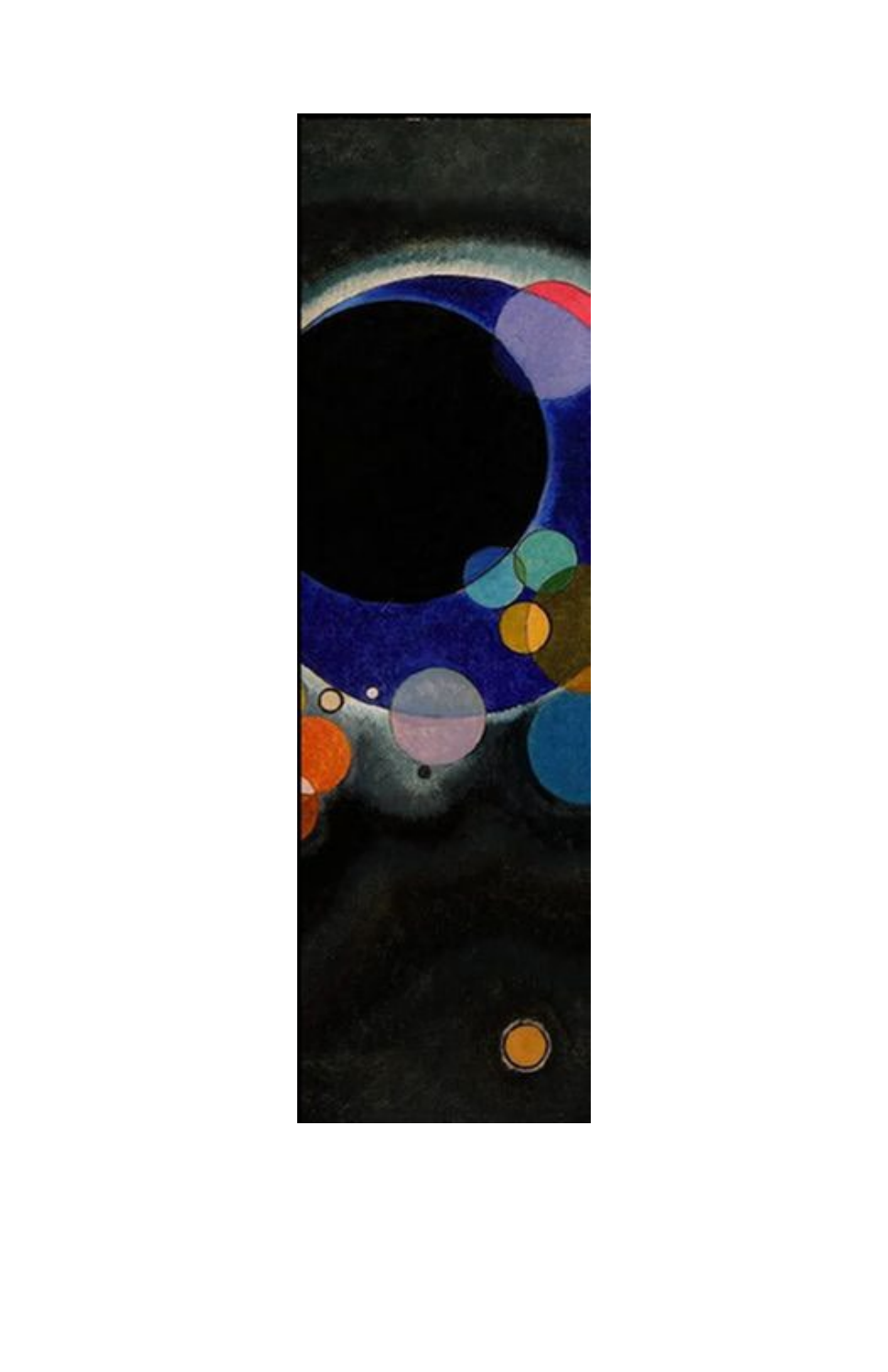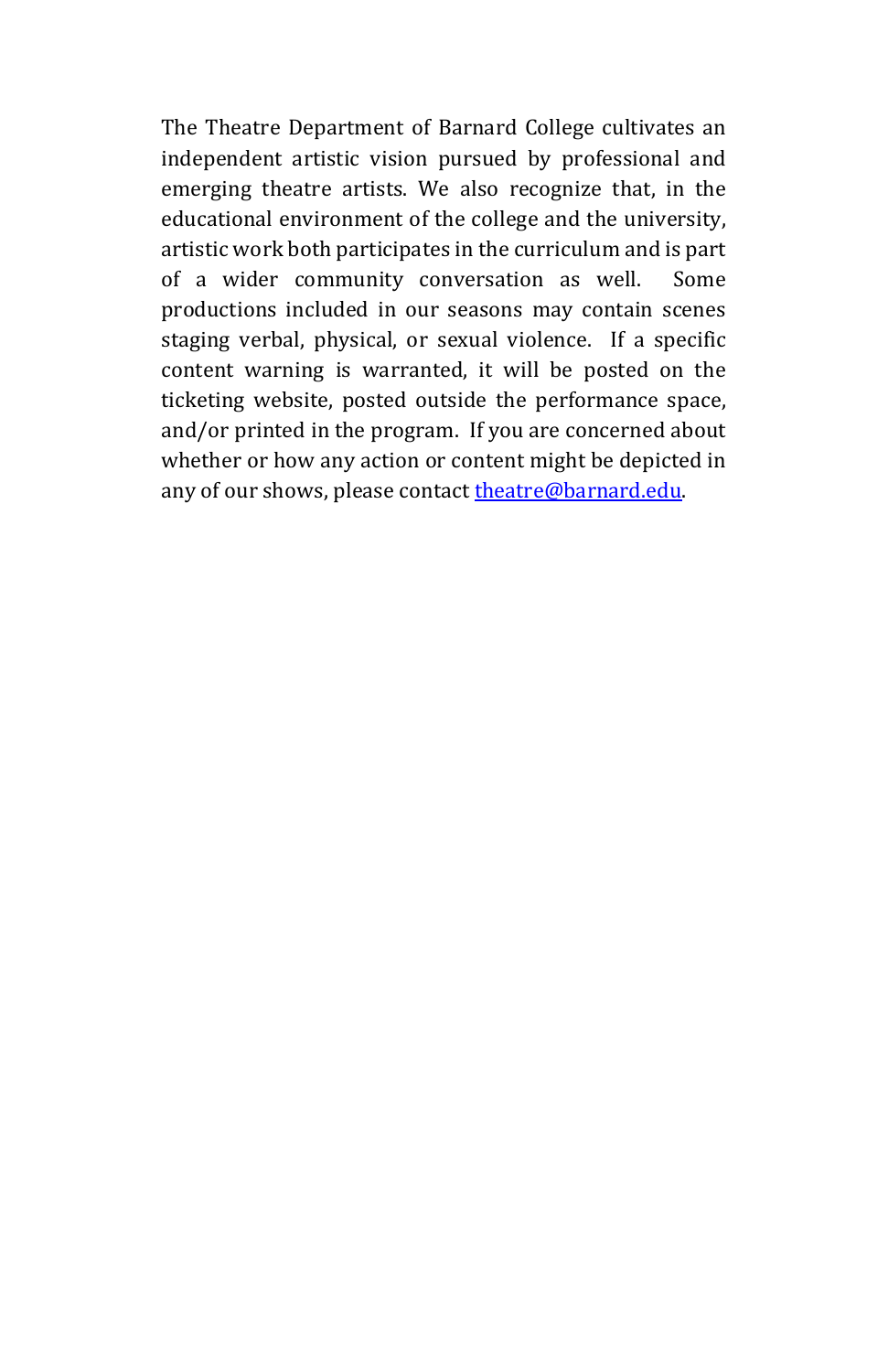The Theatre Department of Barnard College cultivates an independent artistic vision pursued by professional and emerging theatre artists. We also recognize that, in the educational environment of the college and the university, artistic work both participates in the curriculum and is part of a wider community conversation as well. Some productions included in our seasons may contain scenes staging verbal, physical, or sexual violence. If a specific content warning is warranted, it will be posted on the ticketing website, posted outside the performance space, and/or printed in the program. If you are concerned about whether or how any action or content might be depicted in any of our shows, please contact [theatre@barnard.edu.](mailto:theatre@barnard.edu)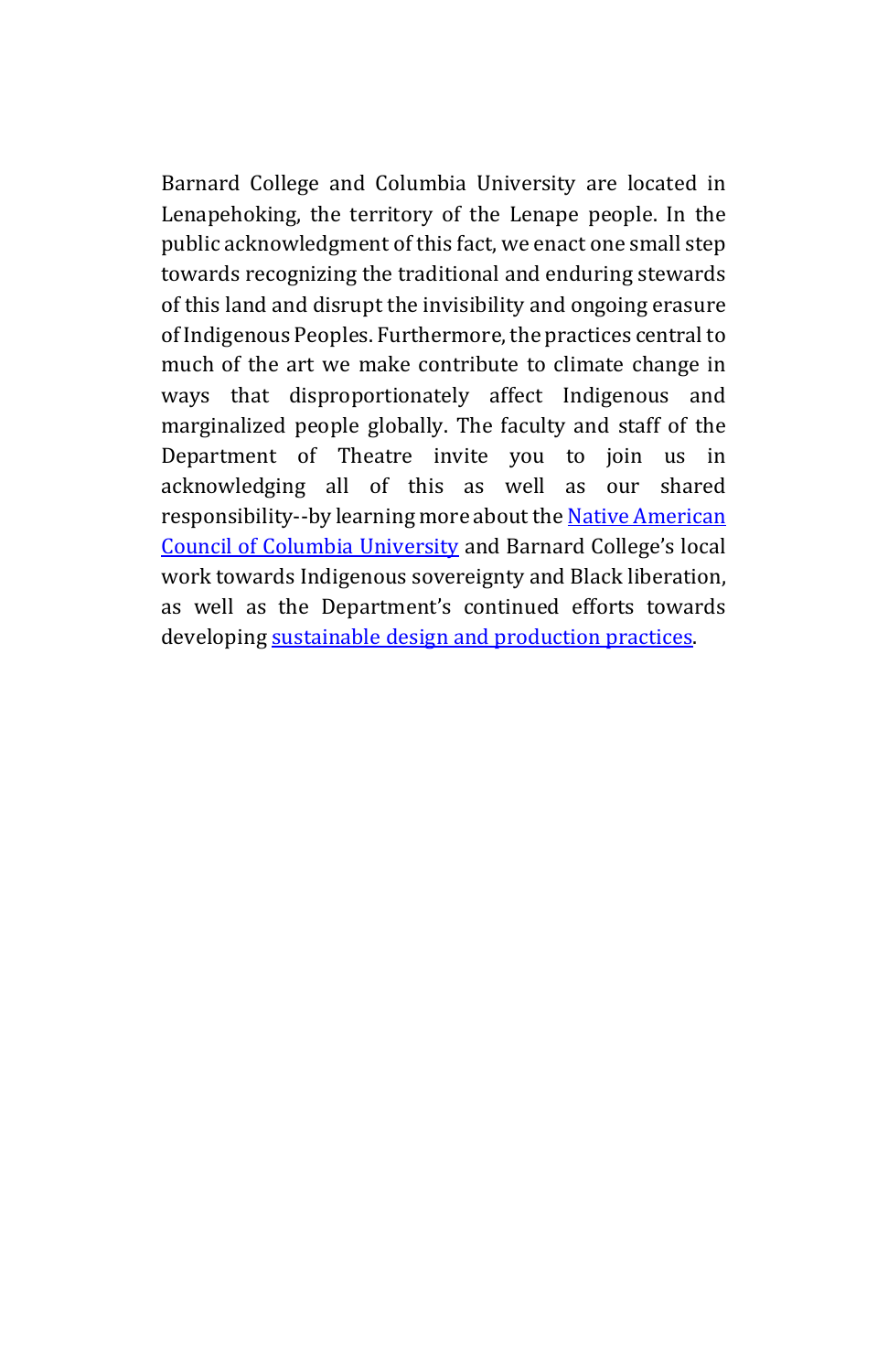Barnard College and Columbia University are located in Lenapehoking, the territory of the Lenape people. In the public acknowledgment of this fact, we enact one small step towards recognizing the traditional and enduring stewards of this land and disrupt the invisibility and ongoing erasure of Indigenous Peoples. Furthermore, the practices central to much of the art we make contribute to climate change in ways that disproportionately affect Indigenous and marginalized people globally. The faculty and staff of the Department of Theatre invite you to join us in acknowledging all of this as well as our shared responsibility--by learning more about th[e Native American](http://www.columbia.edu/cu/nac/)  [Council of Columbia University](http://www.columbia.edu/cu/nac/) and Barnard College's local work towards Indigenous sovereignty and Black liberation, as well as the Department's continued efforts towards developin[g sustainable design and production practices.](https://theatre.barnard.edu/sustainable-design-practices)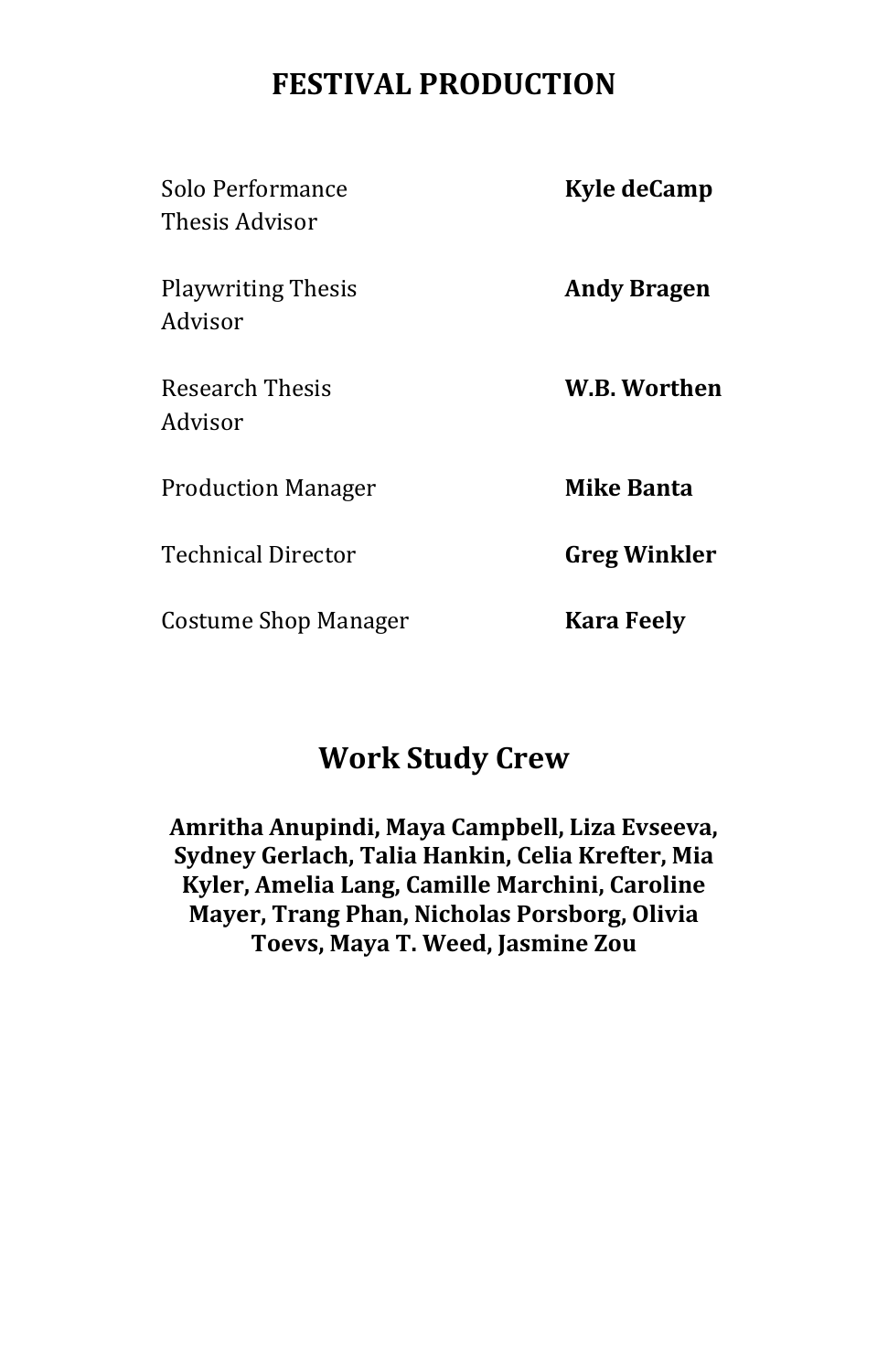## **FESTIVAL PRODUCTION**

| Solo Performance<br>Thesis Advisor   | <b>Kyle deCamp</b>  |
|--------------------------------------|---------------------|
| <b>Playwriting Thesis</b><br>Advisor | <b>Andy Bragen</b>  |
| <b>Research Thesis</b><br>Advisor    | W.B. Worthen        |
| <b>Production Manager</b>            | Mike Banta          |
| <b>Technical Director</b>            | <b>Greg Winkler</b> |
| Costume Shop Manager                 | Kara Feely          |

## **Work Study Crew**

**Amritha Anupindi, Maya Campbell, Liza Evseeva, Sydney Gerlach, Talia Hankin, Celia Krefter, Mia Kyler, Amelia Lang, Camille Marchini, Caroline Mayer, Trang Phan, Nicholas Porsborg, Olivia Toevs, Maya T. Weed, Jasmine Zou**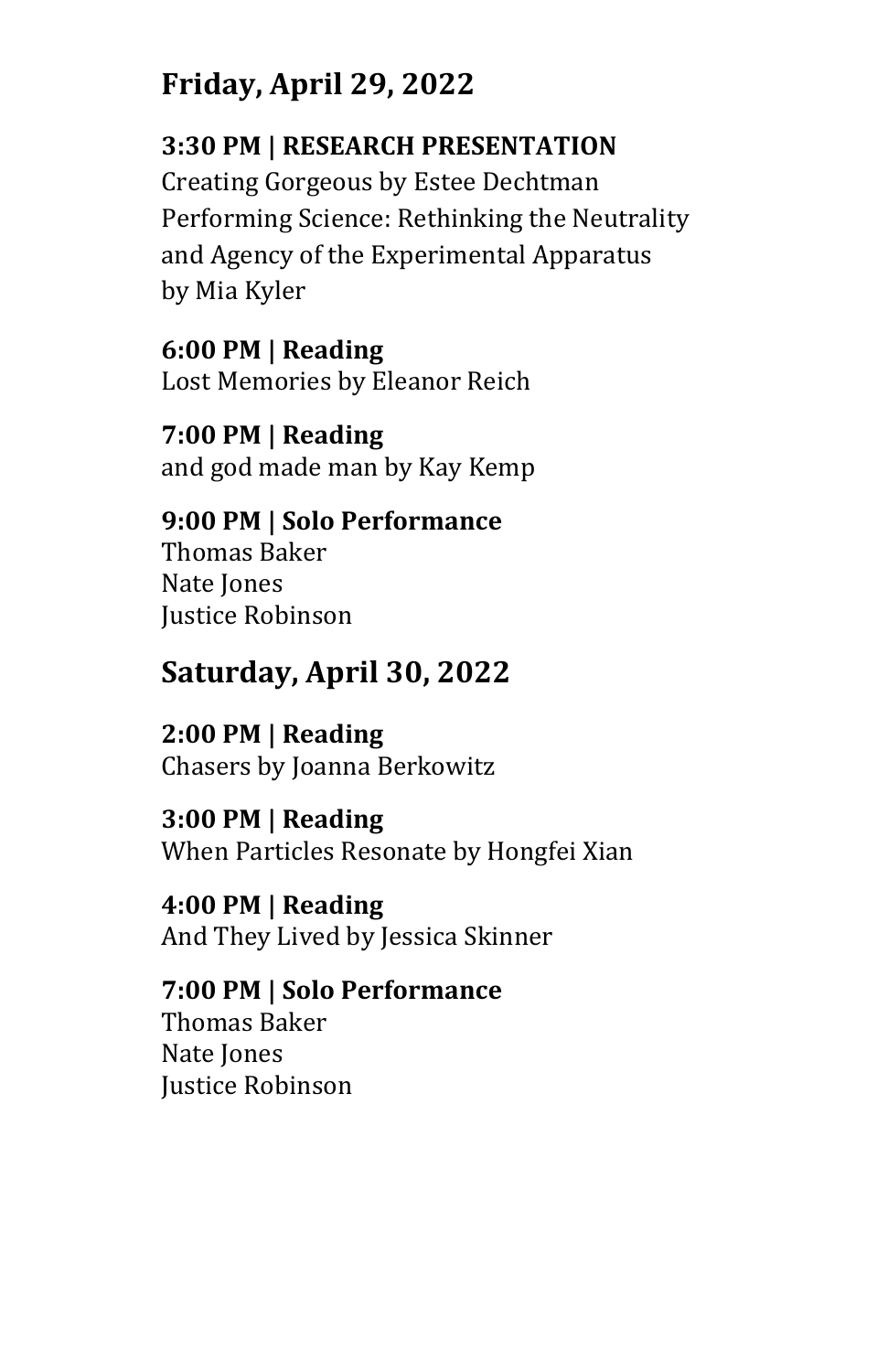# **Friday, April 29, 2022**

### **3:30 PM | RESEARCH PRESENTATION**

Creating Gorgeous by Estee Dechtman Performing Science: Rethinking the Neutrality and Agency of the Experimental Apparatus by Mia Kyler

**6:00 PM | Reading**  Lost Memories by Eleanor Reich

**7:00 PM | Reading**  and god made man by Kay Kemp

### **9:00 PM | Solo Performance**

Thomas Baker Nate Jones Justice Robinson

## **Saturday, April 30, 2022**

**2:00 PM | Reading**  Chasers by Joanna Berkowitz

**3:00 PM | Reading**  When Particles Resonate by Hongfei Xian

**4:00 PM | Reading**  And They Lived by Jessica Skinner

## **7:00 PM | Solo Performance**

Thomas Baker Nate Jones Justice Robinson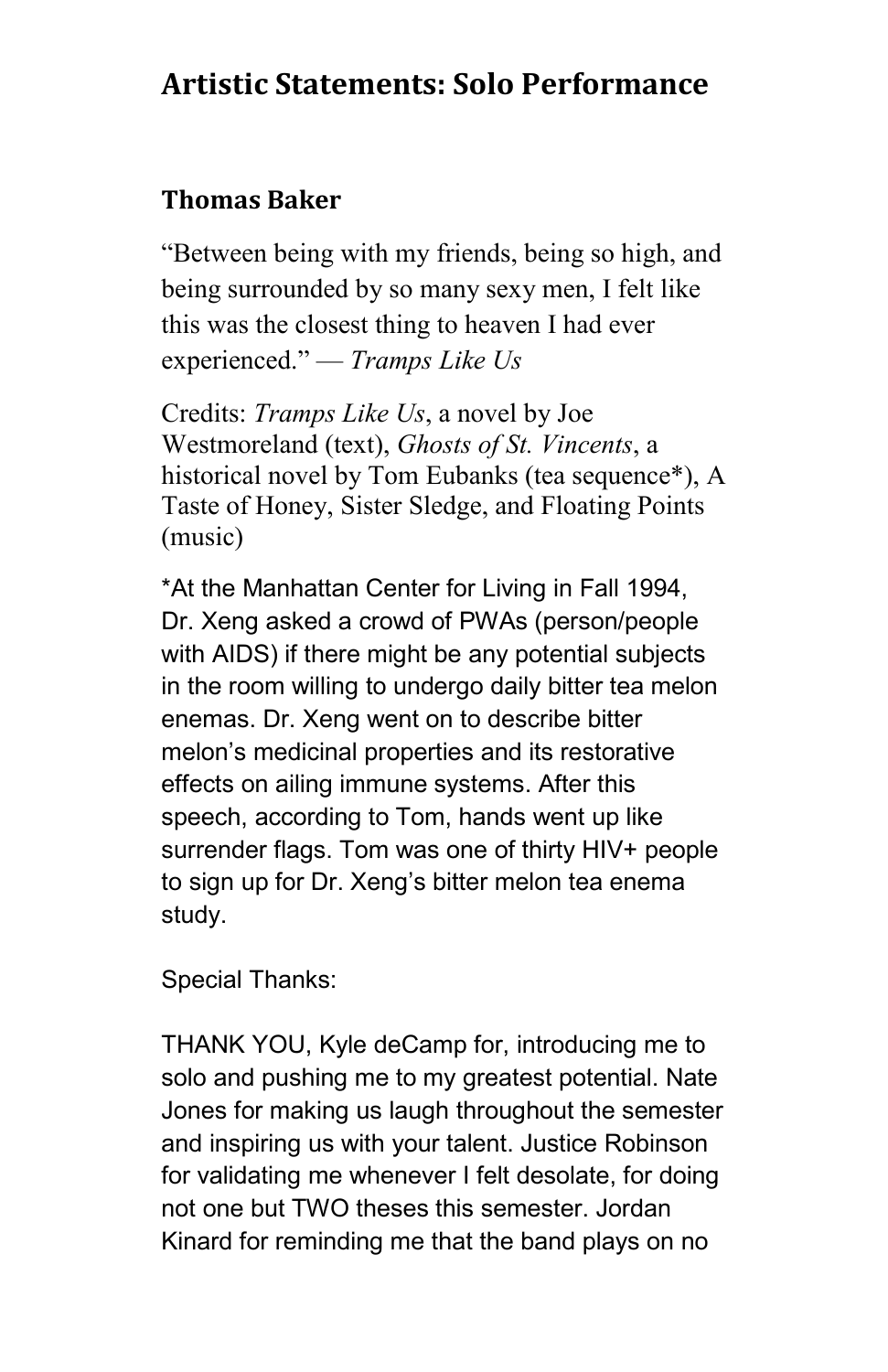## **Artistic Statements: Solo Performance**

#### **Thomas Baker**

"Between being with my friends, being so high, and being surrounded by so many sexy men, I felt like this was the closest thing to heaven I had ever experienced." — *Tramps Like Us*

Credits: *Tramps Like Us*, a novel by Joe Westmoreland (text), *Ghosts of St. Vincents*, a historical novel by Tom Eubanks (tea sequence\*), A Taste of Honey, Sister Sledge, and Floating Points (music)

\*At the Manhattan Center for Living in Fall 1994, Dr. Xeng asked a crowd of PWAs (person/people with AIDS) if there might be any potential subjects in the room willing to undergo daily bitter tea melon enemas. Dr. Xeng went on to describe bitter melon's medicinal properties and its restorative effects on ailing immune systems. After this speech, according to Tom, hands went up like surrender flags. Tom was one of thirty HIV+ people to sign up for Dr. Xeng's bitter melon tea enema study.

Special Thanks:

THANK YOU, Kyle deCamp for, introducing me to solo and pushing me to my greatest potential. Nate Jones for making us laugh throughout the semester and inspiring us with your talent. Justice Robinson for validating me whenever I felt desolate, for doing not one but TWO theses this semester. Jordan Kinard for reminding me that the band plays on no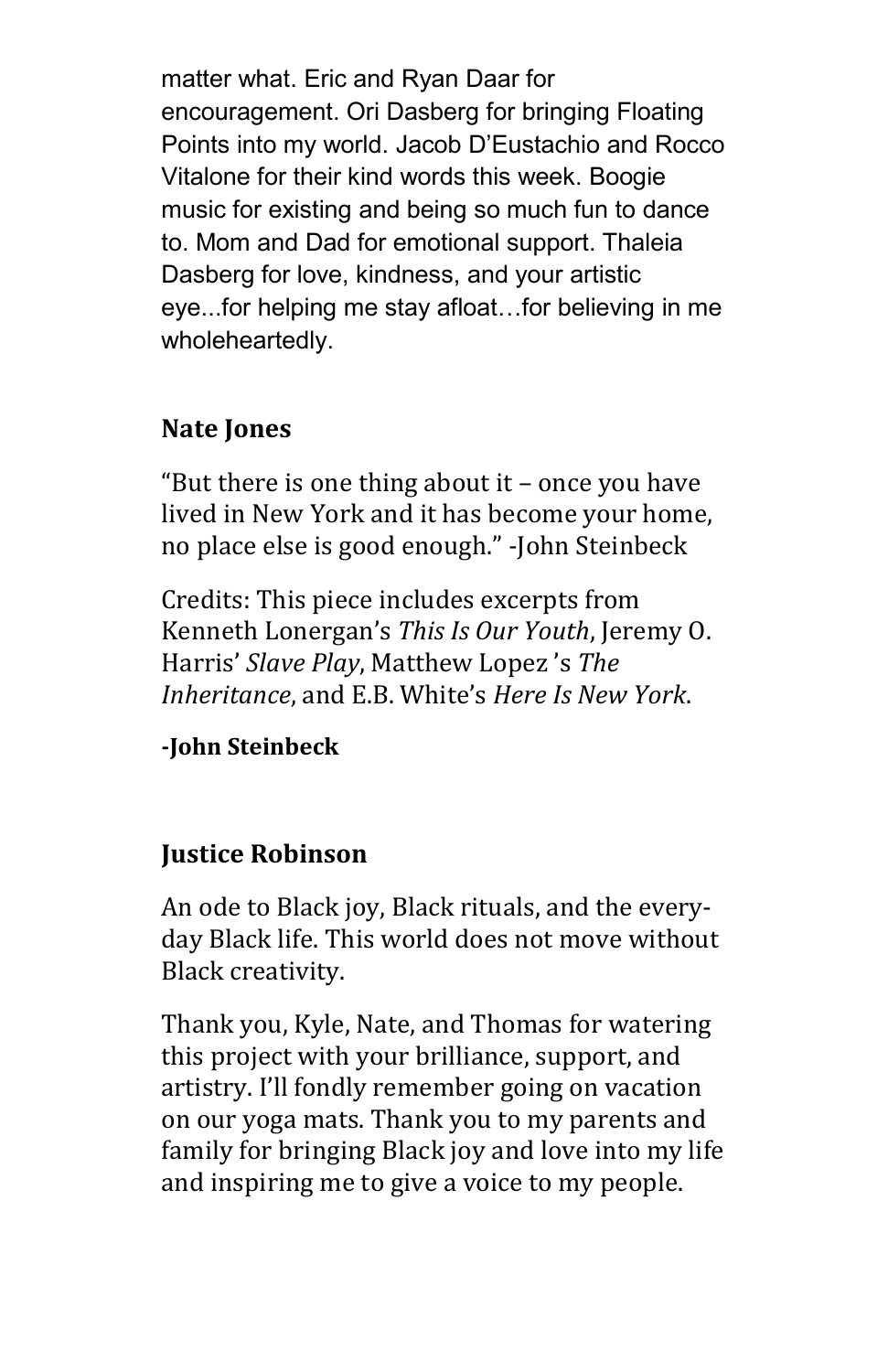matter what. Eric and Ryan Daar for encouragement. Ori Dasberg for bringing Floating Points into my world. Jacob D'Eustachio and Rocco Vitalone for their kind words this week. Boogie music for existing and being so much fun to dance to. Mom and Dad for emotional support. Thaleia Dasberg for love, kindness, and your artistic eye...for helping me stay afloat…for believing in me wholeheartedly.

### **Nate Jones**

"But there is one thing about it – once you have lived in New York and it has become your home, no place else is good enough." -John Steinbeck

Credits: This piece includes excerpts from Kenneth Lonergan's *This Is Our Youth*, Jeremy O. Harris' *Slave Play*, Matthew Lopez 's *The Inheritance*, and E.B. White's *Here Is New York*.

#### **-John Steinbeck**

### **Justice Robinson**

An ode to Black joy, Black rituals, and the everyday Black life. This world does not move without Black creativity.

Thank you, Kyle, Nate, and Thomas for watering this project with your brilliance, support, and artistry. I'll fondly remember going on vacation on our yoga mats. Thank you to my parents and family for bringing Black joy and love into my life and inspiring me to give a voice to my people.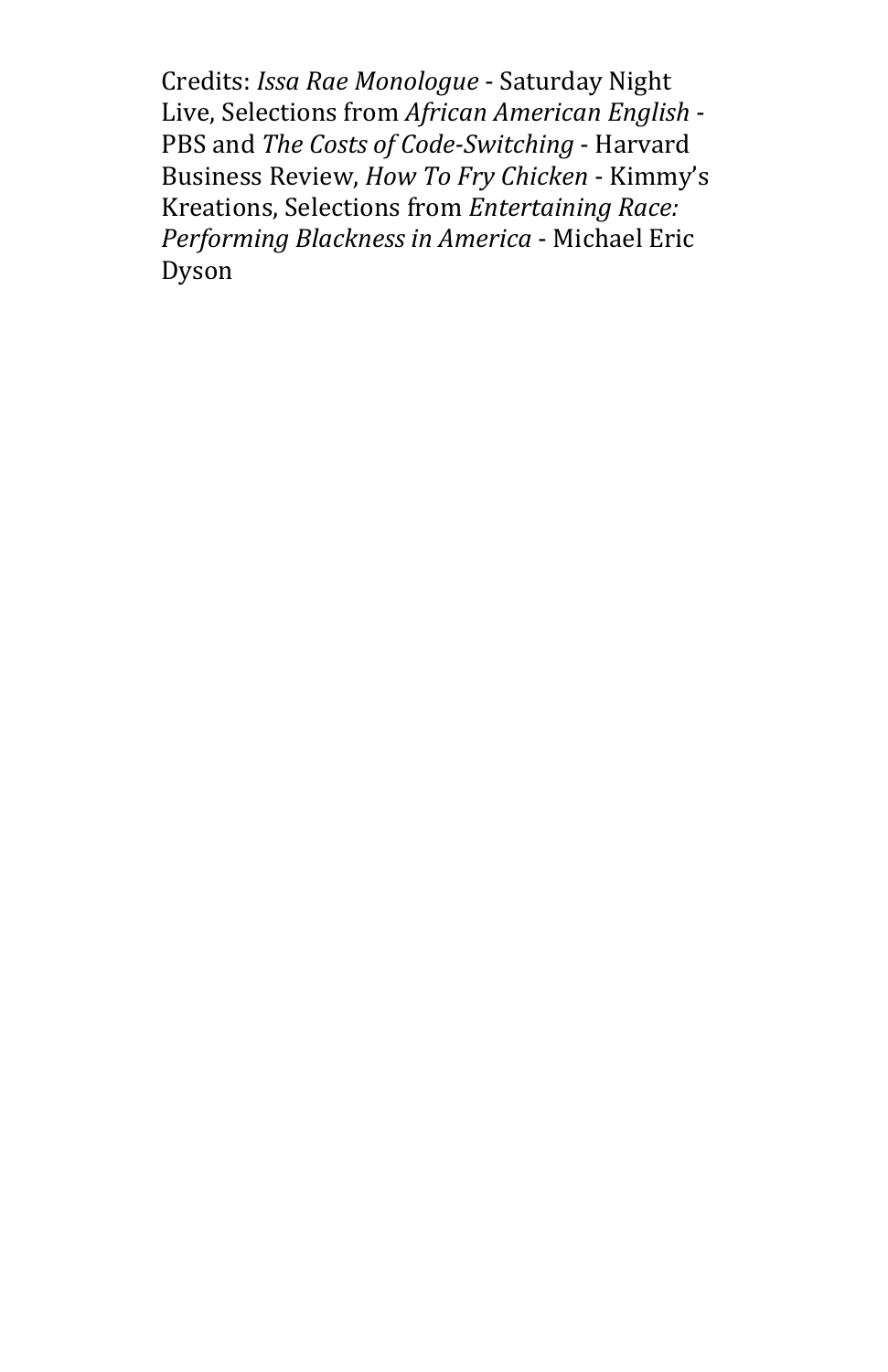Credits: *Issa Rae Monologue* - Saturday Night Live, Selections from *African American English* - PBS and *The Costs of Code-Switching* - Harvard Business Review, *How To Fry Chicken* - Kimmy's Kreations, Selections from *Entertaining Race: Performing Blackness in America* - Michael Eric Dyson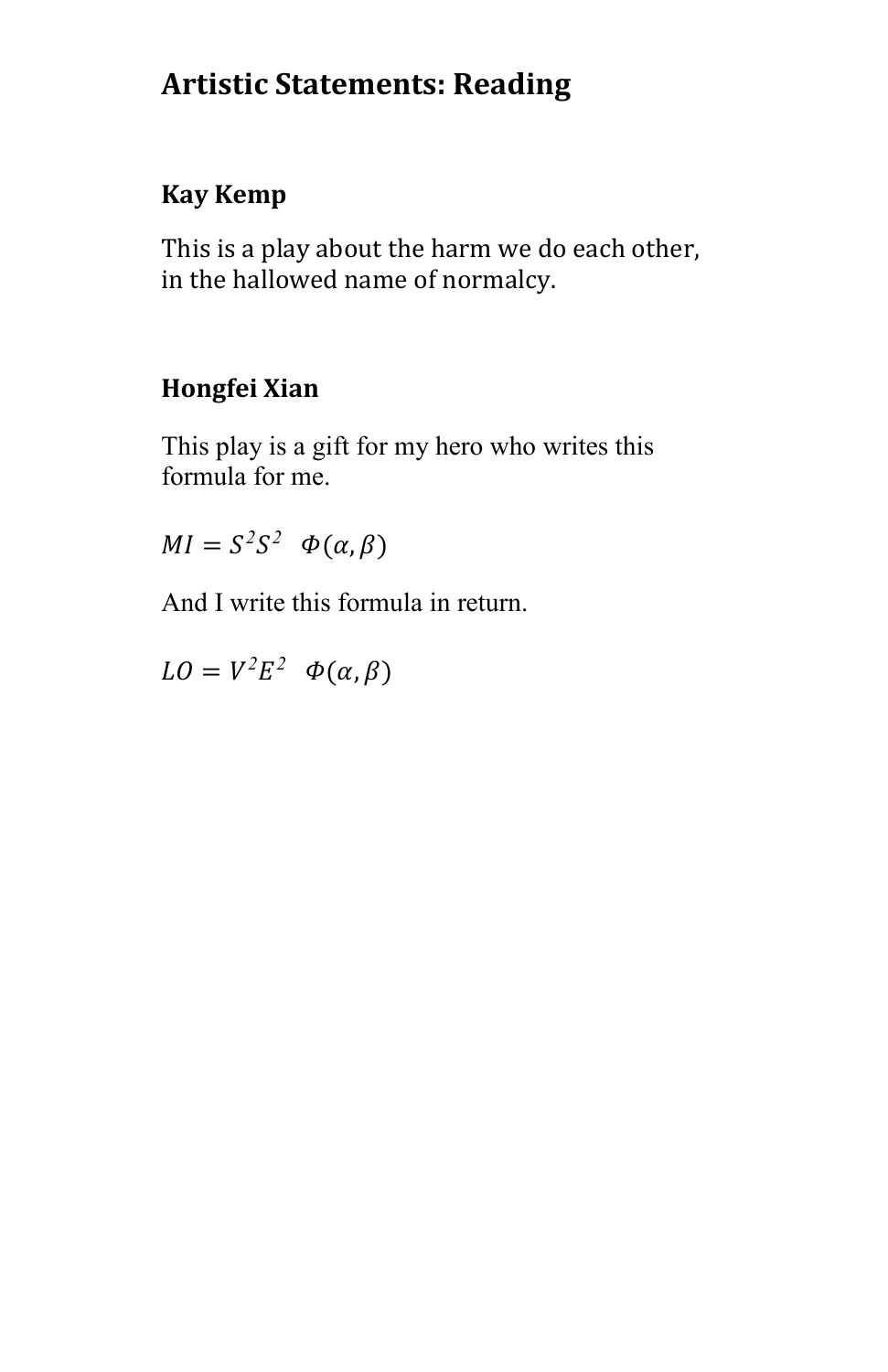## **Artistic Statements: Reading**

### **Kay Kemp**

This is a play about the harm we do each other, in the hallowed name of normalcy.

#### **Hongfei Xian**

This play is a gift for my hero who writes this formula for me.

 $MI = S^2S^2$   $\Phi(\alpha, \beta)$ 

And I write this formula in return.

 $LO = V^2 E^2$   $\Phi(\alpha, \beta)$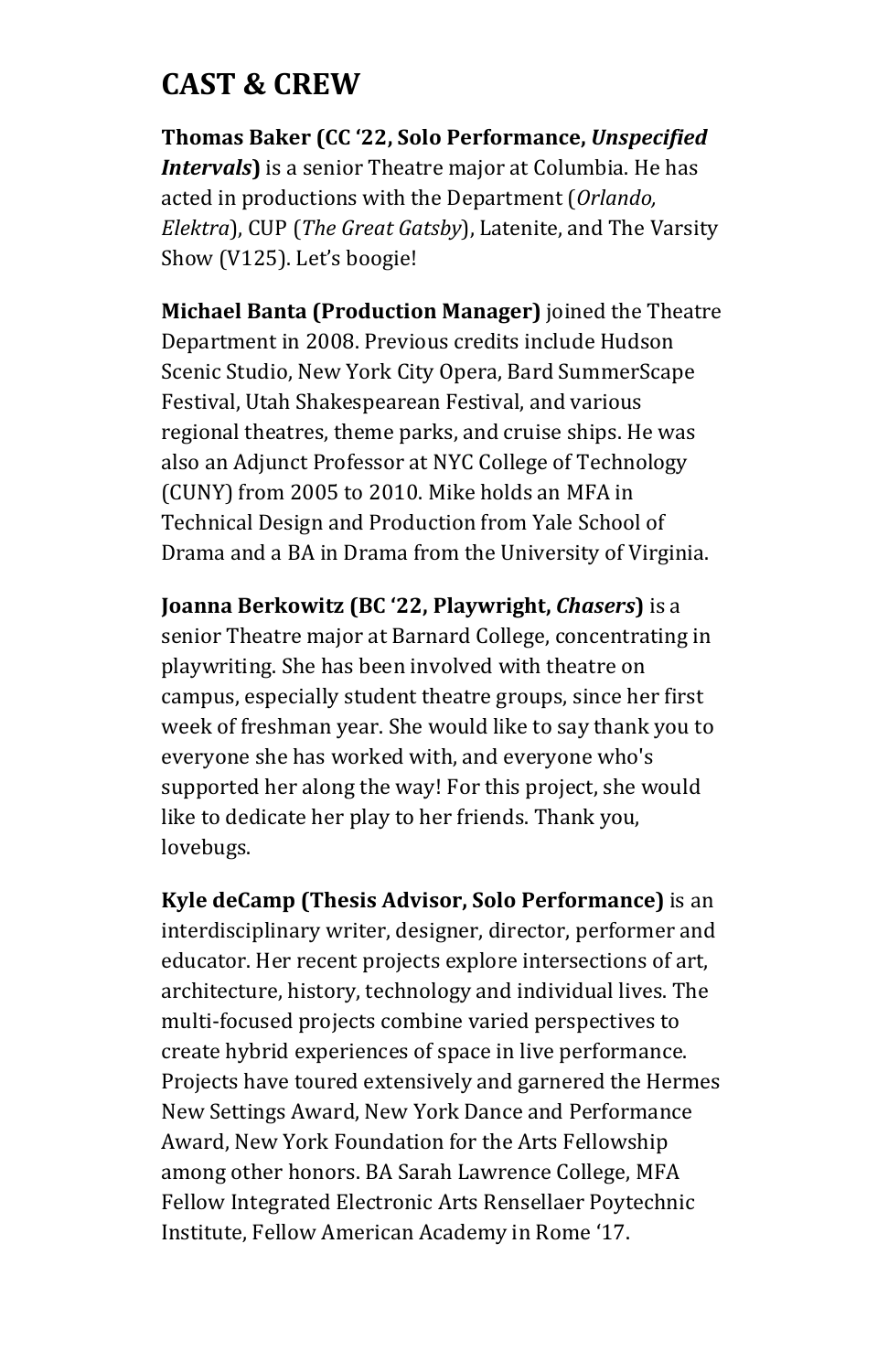## **CAST & CREW**

**Thomas Baker (CC '22, Solo Performance,** *Unspecified Intervals***)** is a senior Theatre major at Columbia. He has acted in productions with the Department (*Orlando, Elektra*), CUP (*The Great Gatsby*), Latenite, and The Varsity Show (V125). Let's boogie!

**Michael Banta (Production Manager)** joined the Theatre Department in 2008. Previous credits include Hudson Scenic Studio, New York City Opera, Bard SummerScape Festival, Utah Shakespearean Festival, and various regional theatres, theme parks, and cruise ships. He was also an Adjunct Professor at NYC College of Technology (CUNY) from 2005 to 2010. Mike holds an MFA in Technical Design and Production from Yale School of Drama and a BA in Drama from the University of Virginia.

**Joanna Berkowitz (BC '22, Playwright,** *Chasers***)** is a senior Theatre major at Barnard College, concentrating in playwriting. She has been involved with theatre on campus, especially student theatre groups, since her first week of freshman year. She would like to say thank you to everyone she has worked with, and everyone who's supported her along the way! For this project, she would like to dedicate her play to her friends. Thank you, lovebugs.

**Kyle deCamp (Thesis Advisor, Solo Performance)** is an interdisciplinary writer, designer, director, performer and educator. Her recent projects explore intersections of art, architecture, history, technology and individual lives. The multi-focused projects combine varied perspectives to create hybrid experiences of space in live performance. Projects have toured extensively and garnered the Hermes New Settings Award, New York Dance and Performance Award, New York Foundation for the Arts Fellowship among other honors. BA Sarah Lawrence College, MFA Fellow Integrated Electronic Arts Rensellaer Poytechnic Institute, Fellow American Academy in Rome '17.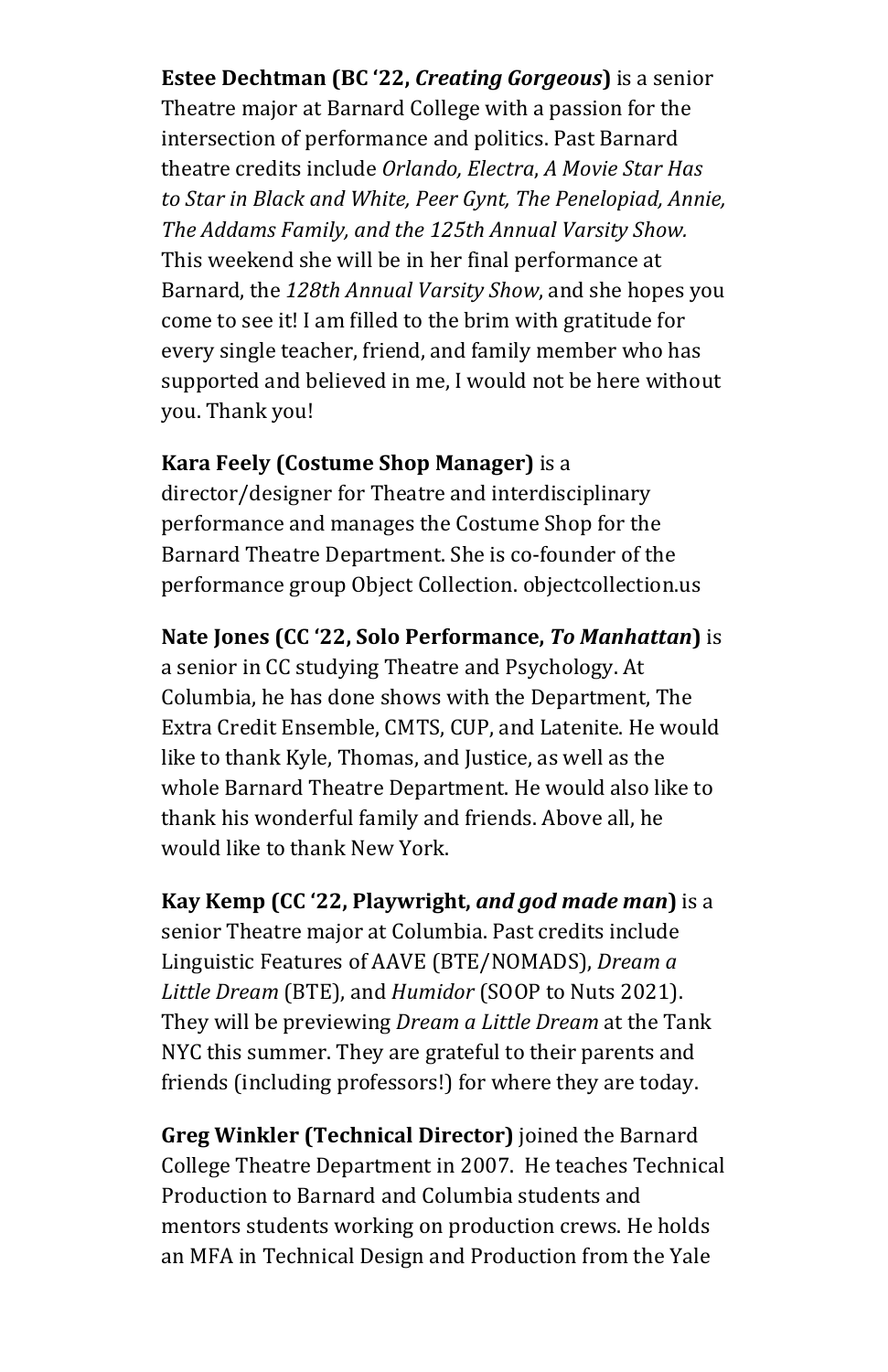**Estee Dechtman (BC '22,** *Creating Gorgeous***)** is a senior Theatre major at Barnard College with a passion for the intersection of performance and politics. Past Barnard theatre credits include *Orlando, Electra*, *A Movie Star Has to Star in Black and White, Peer Gynt, The Penelopiad, Annie, The Addams Family, and the 125th Annual Varsity Show.* This weekend she will be in her final performance at Barnard, the *128th Annual Varsity Show*, and she hopes you come to see it! I am filled to the brim with gratitude for every single teacher, friend, and family member who has supported and believed in me, I would not be here without you. Thank you!

#### **Kara Feely (Costume Shop Manager)** is a

director/designer for Theatre and interdisciplinary performance and manages the Costume Shop for the Barnard Theatre Department. She is co-founder of the performance group Object Collection. objectcollection.us

**Nate Jones (CC '22, Solo Performance,** *To Manhattan***)** is a senior in CC studying Theatre and Psychology. At Columbia, he has done shows with the Department, The Extra Credit Ensemble, CMTS, CUP, and Latenite. He would like to thank Kyle, Thomas, and Justice, as well as the whole Barnard Theatre Department. He would also like to thank his wonderful family and friends. Above all, he would like to thank New York.

**Kay Kemp (CC '22, Playwright,** *and god made man***)** is a senior Theatre major at Columbia. Past credits include Linguistic Features of AAVE (BTE/NOMADS), *Dream a Little Dream* (BTE), and *Humidor* (SOOP to Nuts 2021). They will be previewing *Dream a Little Dream* at the Tank NYC this summer. They are grateful to their parents and friends (including professors!) for where they are today.

**Greg Winkler (Technical Director)** joined the Barnard College Theatre Department in 2007. He teaches Technical Production to Barnard and Columbia students and mentors students working on production crews. He holds an MFA in Technical Design and Production from the Yale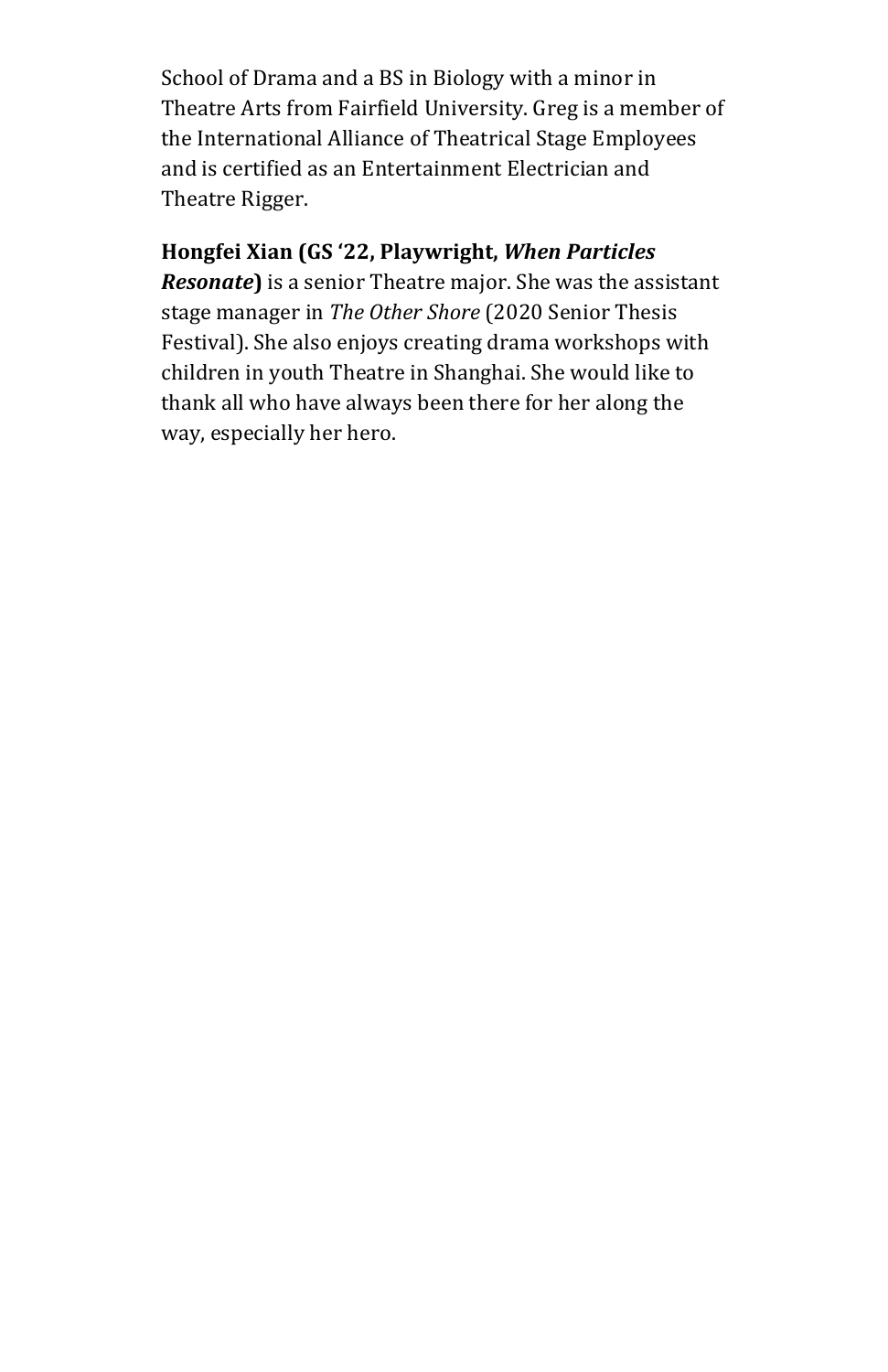School of Drama and a BS in Biology with a minor in Theatre Arts from Fairfield University. Greg is a member of the International Alliance of Theatrical Stage Employees and is certified as an Entertainment Electrician and Theatre Rigger.

#### **Hongfei Xian (GS '22, Playwright,** *When Particles*

*Resonate***)** is a senior Theatre major. She was the assistant stage manager in *The Other Shore* (2020 Senior Thesis Festival). She also enjoys creating drama workshops with children in youth Theatre in Shanghai. She would like to thank all who have always been there for her along the way, especially her hero.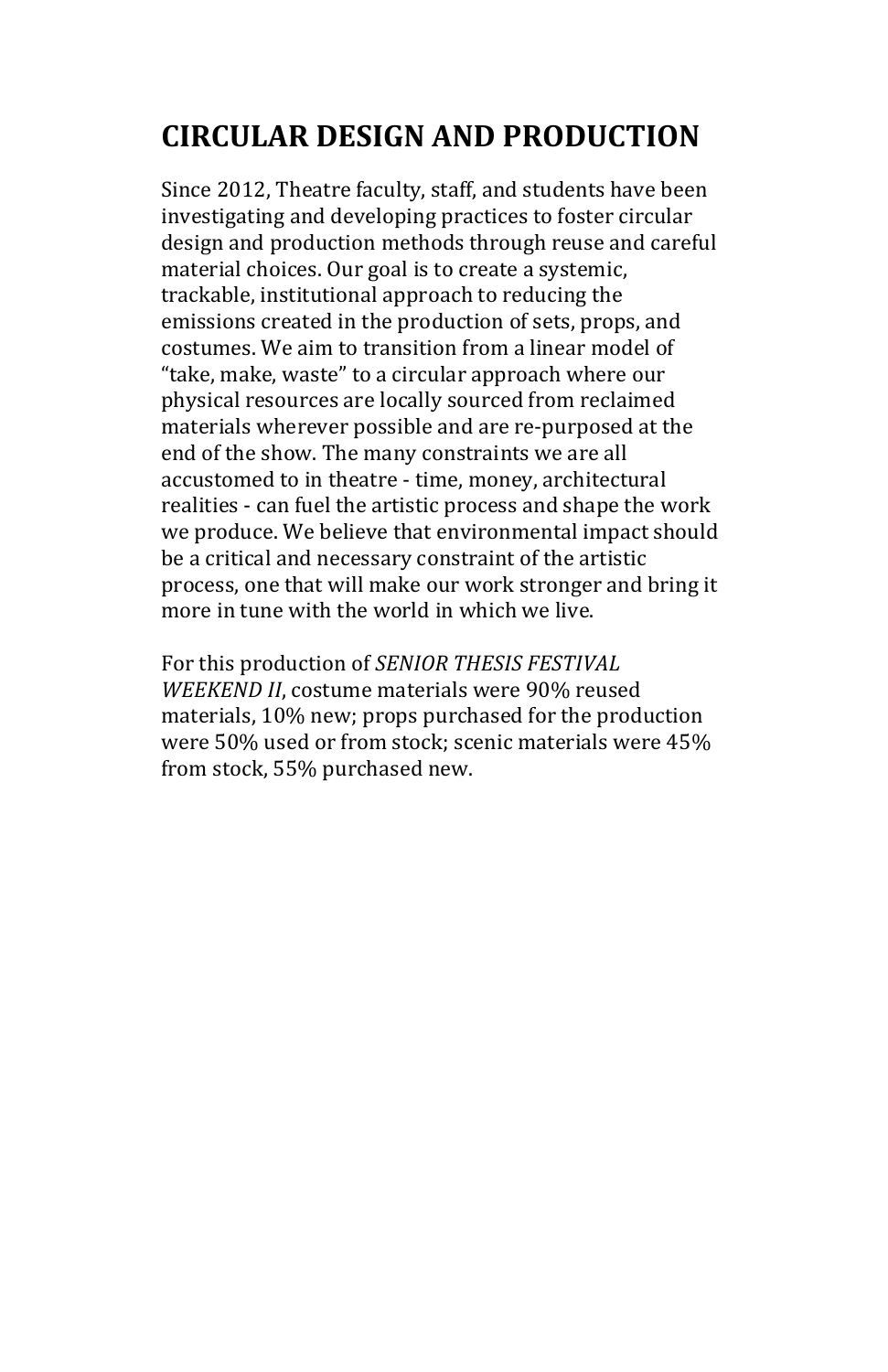# **CIRCULAR DESIGN AND PRODUCTION**

Since 2012, Theatre faculty, staff, and students have been investigating and developing practices to foster circular design and production methods through reuse and careful material choices. Our goal is to create a systemic, trackable, institutional approach to reducing the emissions created in the production of sets, props, and costumes. We aim to transition from a linear model of "take, make, waste" to a circular approach where our physical resources are locally sourced from reclaimed materials wherever possible and are re-purposed at the end of the show. The many constraints we are all accustomed to in theatre - time, money, architectural realities - can fuel the artistic process and shape the work we produce. We believe that environmental impact should be a critical and necessary constraint of the artistic process, one that will make our work stronger and bring it more in tune with the world in which we live.

For this production of *SENIOR THESIS FESTIVAL WEEKEND II*, costume materials were 90% reused materials, 10% new; props purchased for the production were 50% used or from stock; scenic materials were 45% from stock, 55% purchased new.